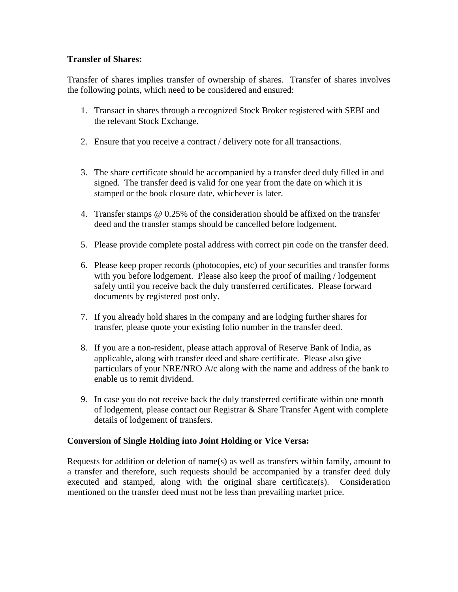# **Transfer of Shares:**

Transfer of shares implies transfer of ownership of shares. Transfer of shares involves the following points, which need to be considered and ensured:

- 1. Transact in shares through a recognized Stock Broker registered with SEBI and the relevant Stock Exchange.
- 2. Ensure that you receive a contract / delivery note for all transactions.
- 3. The share certificate should be accompanied by a transfer deed duly filled in and signed. The transfer deed is valid for one year from the date on which it is stamped or the book closure date, whichever is later.
- 4. Transfer stamps @ 0.25% of the consideration should be affixed on the transfer deed and the transfer stamps should be cancelled before lodgement.
- 5. Please provide complete postal address with correct pin code on the transfer deed.
- 6. Please keep proper records (photocopies, etc) of your securities and transfer forms with you before lodgement. Please also keep the proof of mailing / lodgement safely until you receive back the duly transferred certificates. Please forward documents by registered post only.
- 7. If you already hold shares in the company and are lodging further shares for transfer, please quote your existing folio number in the transfer deed.
- 8. If you are a non-resident, please attach approval of Reserve Bank of India, as applicable, along with transfer deed and share certificate. Please also give particulars of your NRE/NRO A/c along with the name and address of the bank to enable us to remit dividend.
- 9. In case you do not receive back the duly transferred certificate within one month of lodgement, please contact our Registrar & Share Transfer Agent with complete details of lodgement of transfers.

### **Conversion of Single Holding into Joint Holding or Vice Versa:**

Requests for addition or deletion of name(s) as well as transfers within family, amount to a transfer and therefore, such requests should be accompanied by a transfer deed duly executed and stamped, along with the original share certificate(s). Consideration mentioned on the transfer deed must not be less than prevailing market price.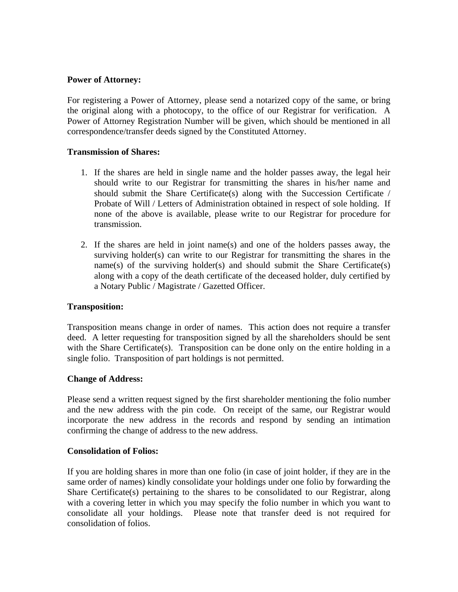#### **Power of Attorney:**

For registering a Power of Attorney, please send a notarized copy of the same, or bring the original along with a photocopy, to the office of our Registrar for verification. A Power of Attorney Registration Number will be given, which should be mentioned in all correspondence/transfer deeds signed by the Constituted Attorney.

#### **Transmission of Shares:**

- 1. If the shares are held in single name and the holder passes away, the legal heir should write to our Registrar for transmitting the shares in his/her name and should submit the Share Certificate(s) along with the Succession Certificate / Probate of Will / Letters of Administration obtained in respect of sole holding. If none of the above is available, please write to our Registrar for procedure for transmission.
- 2. If the shares are held in joint name(s) and one of the holders passes away, the surviving holder(s) can write to our Registrar for transmitting the shares in the name(s) of the surviving holder(s) and should submit the Share Certificate(s) along with a copy of the death certificate of the deceased holder, duly certified by a Notary Public / Magistrate / Gazetted Officer.

### **Transposition:**

Transposition means change in order of names. This action does not require a transfer deed. A letter requesting for transposition signed by all the shareholders should be sent with the Share Certificate(s). Transposition can be done only on the entire holding in a single folio. Transposition of part holdings is not permitted.

### **Change of Address:**

Please send a written request signed by the first shareholder mentioning the folio number and the new address with the pin code. On receipt of the same, our Registrar would incorporate the new address in the records and respond by sending an intimation confirming the change of address to the new address.

#### **Consolidation of Folios:**

If you are holding shares in more than one folio (in case of joint holder, if they are in the same order of names) kindly consolidate your holdings under one folio by forwarding the Share Certificate(s) pertaining to the shares to be consolidated to our Registrar, along with a covering letter in which you may specify the folio number in which you want to consolidate all your holdings. Please note that transfer deed is not required for consolidation of folios.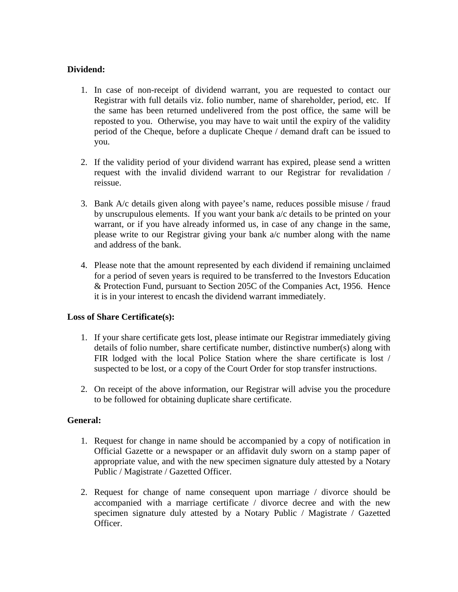# **Dividend:**

- 1. In case of non-receipt of dividend warrant, you are requested to contact our Registrar with full details viz. folio number, name of shareholder, period, etc. If the same has been returned undelivered from the post office, the same will be reposted to you. Otherwise, you may have to wait until the expiry of the validity period of the Cheque, before a duplicate Cheque / demand draft can be issued to you.
- 2. If the validity period of your dividend warrant has expired, please send a written request with the invalid dividend warrant to our Registrar for revalidation / reissue.
- 3. Bank A/c details given along with payee's name, reduces possible misuse / fraud by unscrupulous elements. If you want your bank a/c details to be printed on your warrant, or if you have already informed us, in case of any change in the same, please write to our Registrar giving your bank a/c number along with the name and address of the bank.
- 4. Please note that the amount represented by each dividend if remaining unclaimed for a period of seven years is required to be transferred to the Investors Education & Protection Fund, pursuant to Section 205C of the Companies Act, 1956. Hence it is in your interest to encash the dividend warrant immediately.

### **Loss of Share Certificate(s):**

- 1. If your share certificate gets lost, please intimate our Registrar immediately giving details of folio number, share certificate number, distinctive number(s) along with FIR lodged with the local Police Station where the share certificate is lost / suspected to be lost, or a copy of the Court Order for stop transfer instructions.
- 2. On receipt of the above information, our Registrar will advise you the procedure to be followed for obtaining duplicate share certificate.

### **General:**

- 1. Request for change in name should be accompanied by a copy of notification in Official Gazette or a newspaper or an affidavit duly sworn on a stamp paper of appropriate value, and with the new specimen signature duly attested by a Notary Public / Magistrate / Gazetted Officer.
- 2. Request for change of name consequent upon marriage / divorce should be accompanied with a marriage certificate / divorce decree and with the new specimen signature duly attested by a Notary Public / Magistrate / Gazetted Officer.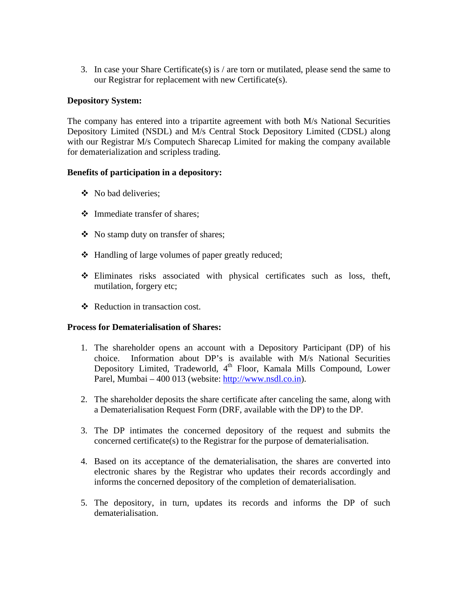3. In case your Share Certificate(s) is / are torn or mutilated, please send the same to our Registrar for replacement with new Certificate(s).

# **Depository System:**

The company has entered into a tripartite agreement with both M/s National Securities Depository Limited (NSDL) and M/s Central Stock Depository Limited (CDSL) along with our Registrar M/s Computech Sharecap Limited for making the company available for dematerialization and scripless trading.

### **Benefits of participation in a depository:**

- No bad deliveries:
- Immediate transfer of shares;
- No stamp duty on transfer of shares;
- Handling of large volumes of paper greatly reduced;
- Eliminates risks associated with physical certificates such as loss, theft, mutilation, forgery etc;
- ❖ Reduction in transaction cost.

### **Process for Dematerialisation of Shares:**

- 1. The shareholder opens an account with a Depository Participant (DP) of his choice. Information about DP's is available with M/s National Securities Depository Limited, Tradeworld, 4<sup>th</sup> Floor, Kamala Mills Compound, Lower Parel, Mumbai – 400 013 (website: [http://www.nsdl.co.in\)](http://www.nsdl.co.in/).
- 2. The shareholder deposits the share certificate after canceling the same, along with a Dematerialisation Request Form (DRF, available with the DP) to the DP.
- 3. The DP intimates the concerned depository of the request and submits the concerned certificate(s) to the Registrar for the purpose of dematerialisation.
- 4. Based on its acceptance of the dematerialisation, the shares are converted into electronic shares by the Registrar who updates their records accordingly and informs the concerned depository of the completion of dematerialisation.
- 5. The depository, in turn, updates its records and informs the DP of such dematerialisation.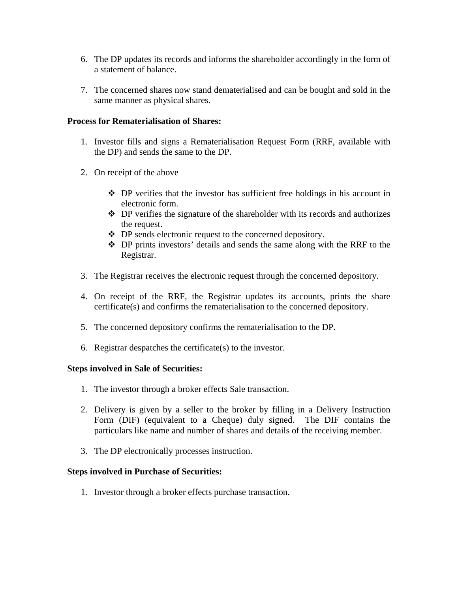- 6. The DP updates its records and informs the shareholder accordingly in the form of a statement of balance.
- 7. The concerned shares now stand dematerialised and can be bought and sold in the same manner as physical shares.

### **Process for Rematerialisation of Shares:**

- 1. Investor fills and signs a Rematerialisation Request Form (RRF, available with the DP) and sends the same to the DP.
- 2. On receipt of the above
	- DP verifies that the investor has sufficient free holdings in his account in electronic form.
	- $\triangle$  DP verifies the signature of the shareholder with its records and authorizes the request.
	- DP sends electronic request to the concerned depository.
	- DP prints investors' details and sends the same along with the RRF to the Registrar.
- 3. The Registrar receives the electronic request through the concerned depository.
- 4. On receipt of the RRF, the Registrar updates its accounts, prints the share certificate(s) and confirms the rematerialisation to the concerned depository.
- 5. The concerned depository confirms the rematerialisation to the DP.
- 6. Registrar despatches the certificate(s) to the investor.

### **Steps involved in Sale of Securities:**

- 1. The investor through a broker effects Sale transaction.
- 2. Delivery is given by a seller to the broker by filling in a Delivery Instruction Form (DIF) (equivalent to a Cheque) duly signed. The DIF contains the particulars like name and number of shares and details of the receiving member.
- 3. The DP electronically processes instruction.

### **Steps involved in Purchase of Securities:**

1. Investor through a broker effects purchase transaction.